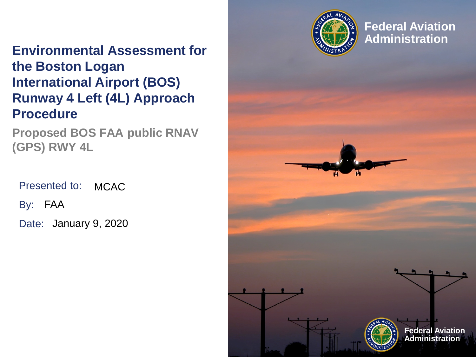

**Federal Aviation Administration**

### **Environmental Assessment for the Boston Logan International Airport (BOS) Runway 4 Left (4L) Approach Procedure**

**Proposed BOS FAA public RNAV (GPS) RWY 4L**

Presented to: By: FAA **MCAC** 

Date: January 9, 2020

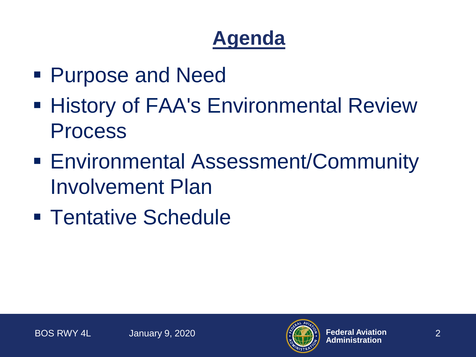# **Agenda**

- Purpose and Need
- **History of FAA's Environmental Review** Process
- Environmental Assessment/Community Involvement Plan
- **Tentative Schedule**

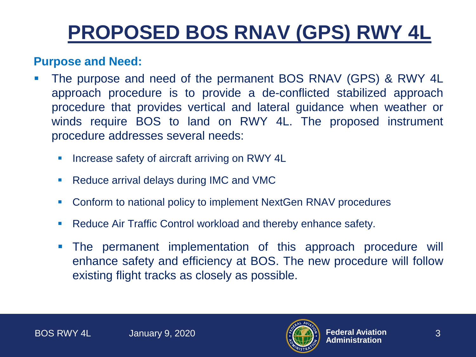# **PROPOSED BOS RNAV (GPS) RWY 4L**

#### **Purpose and Need:**

- The purpose and need of the permanent BOS RNAV (GPS) & RWY 4L approach procedure is to provide a de-conflicted stabilized approach procedure that provides vertical and lateral guidance when weather or winds require BOS to land on RWY 4L. The proposed instrument procedure addresses several needs:
	- **Increase safety of aircraft arriving on RWY 4L**
	- Reduce arrival delays during IMC and VMC
	- Conform to national policy to implement NextGen RNAV procedures
	- Reduce Air Traffic Control workload and thereby enhance safety.
	- The permanent implementation of this approach procedure will enhance safety and efficiency at BOS. The new procedure will follow existing flight tracks as closely as possible.

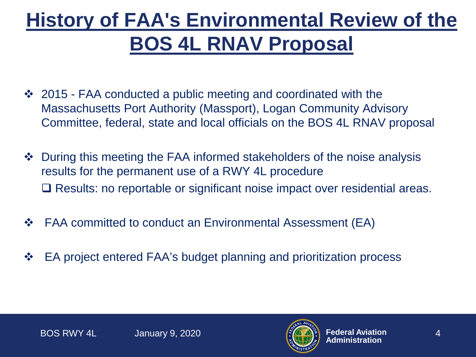# **History of FAA's Environmental Review of the BOS 4L RNAV Proposal**

- ❖ 2015 FAA conducted a public meeting and coordinated with the Massachusetts Port Authority (Massport), Logan Community Advisory Committee, federal, state and local officials on the BOS 4L RNAV proposal
- ◆ During this meeting the FAA informed stakeholders of the noise analysis results for the permanent use of a RWY 4L procedure □ Results: no reportable or significant noise impact over residential areas.
- $\div$  FAA committed to conduct an Environmental Assessment (EA)
- **EA project entered FAA's budget planning and prioritization process**

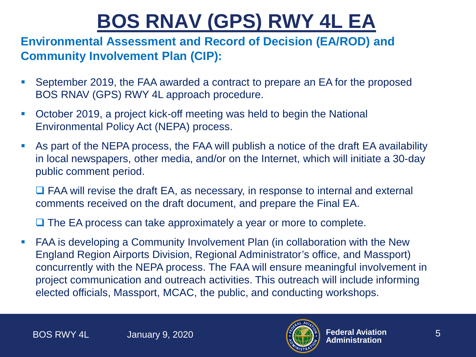# **BOS RNAV (GPS) RWY 4L EA**

#### **Environmental Assessment and Record of Decision (EA/ROD) and Community Involvement Plan (CIP):**

- September 2019, the FAA awarded a contract to prepare an EA for the proposed BOS RNAV (GPS) RWY 4L approach procedure.
- October 2019, a project kick-off meeting was held to begin the National Environmental Policy Act (NEPA) process.
- As part of the NEPA process, the FAA will publish a notice of the draft EA availability in local newspapers, other media, and/or on the Internet, which will initiate a 30-day public comment period.

□ FAA will revise the draft EA, as necessary, in response to internal and external comments received on the draft document, and prepare the Final EA.

 $\Box$  The EA process can take approximately a year or more to complete.

 FAA is developing a Community Involvement Plan (in collaboration with the New England Region Airports Division, Regional Administrator's office, and Massport) concurrently with the NEPA process. The FAA will ensure meaningful involvement in project communication and outreach activities. This outreach will include informing elected officials, Massport, MCAC, the public, and conducting workshops.

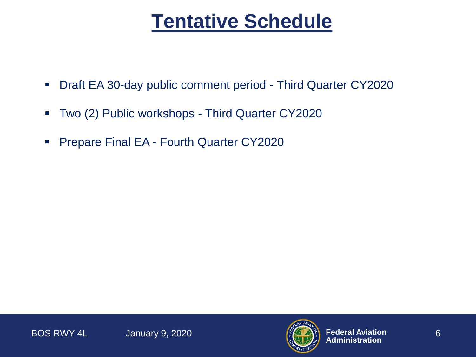### **Tentative Schedule**

- Draft EA 30-day public comment period Third Quarter CY2020
- Two (2) Public workshops Third Quarter CY2020
- **Prepare Final EA Fourth Quarter CY2020**